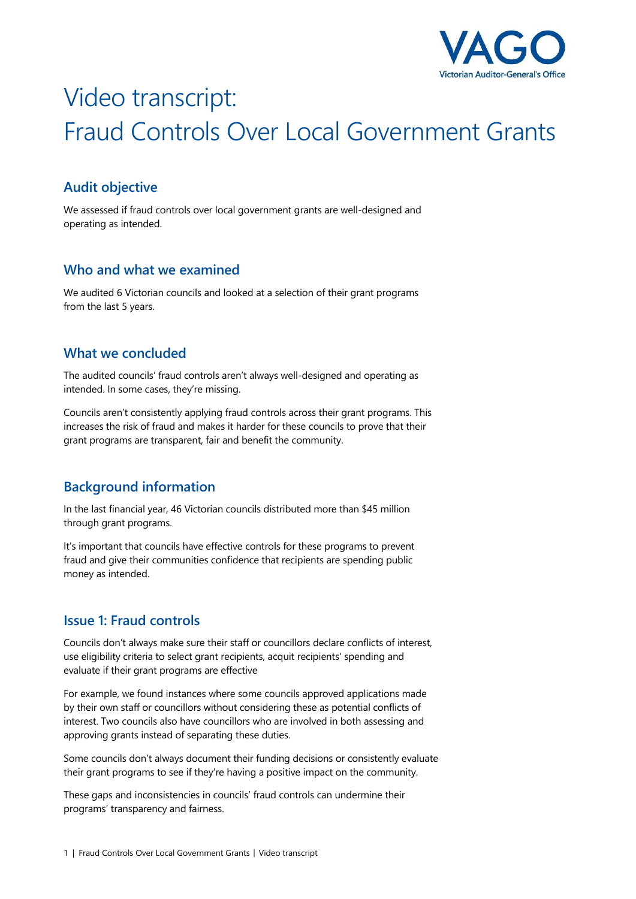

# Video transcript: Fraud Controls Over Local Government Grants

## **Audit objective**

We assessed if fraud controls over local government grants are well-designed and operating as intended.

### **Who and what we examined**

We audited 6 Victorian councils and looked at a selection of their grant programs from the last 5 years.

### **What we concluded**

The audited councils' fraud controls aren't always well-designed and operating as intended. In some cases, they're missing.

Councils aren't consistently applying fraud controls across their grant programs. This increases the risk of fraud and makes it harder for these councils to prove that their grant programs are transparent, fair and benefit the community.

## **Background information**

In the last financial year, 46 Victorian councils distributed more than \$45 million through grant programs.

It's important that councils have effective controls for these programs to prevent fraud and give their communities confidence that recipients are spending public money as intended.

## **Issue 1: Fraud controls**

Councils don't always make sure their staff or councillors declare conflicts of interest, use eligibility criteria to select grant recipients, acquit recipients' spending and evaluate if their grant programs are effective

For example, we found instances where some councils approved applications made by their own staff or councillors without considering these as potential conflicts of interest. Two councils also have councillors who are involved in both assessing and approving grants instead of separating these duties.

Some councils don't always document their funding decisions or consistently evaluate their grant programs to see if they're having a positive impact on the community.

These gaps and inconsistencies in councils' fraud controls can undermine their programs' transparency and fairness.